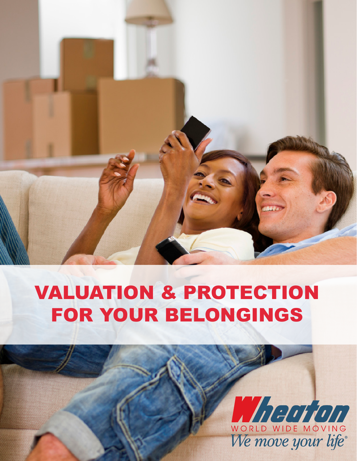

# VALUATION & PROTECTION FOR YOUR BELONGINGS

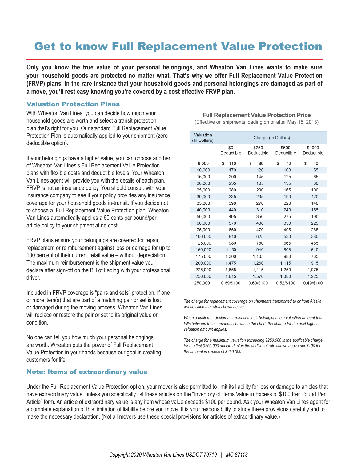# Get to know Full Replacement Value Protection

**Only you know the true value of your personal belongings, and Wheaton Van Lines wants to make sure your household goods are protected no matter what. That's why we offer Full Replacement Value Protection (FRVP) plans. In the rare instance that your household goods and personal belongings are damaged as part of a move, you'll rest easy knowing you're covered by a cost effective FRVP plan.**

## Valuation Protection Plans

With Wheaton Van Lines, you can decide how much your household goods are worth and select a transit protection plan that's right for you. Our standard Full Replacement Value Protection Plan is automatically applied to your shipment (zero deductible option).

If your belongings have a higher value, you can choose another of Wheaton Van Lines's Full Replacement Value Protection plans with flexible costs and deductible levels. Your Wheaton Van Lines agent will provide you with the details of each plan. FRVP is not an insurance policy. You should consult with your insurance company to see if your policy provides any insurance coverage for your household goods in-transit. If you decide not to choose a Full Replacement Value Protection plan, Wheaton Van Lines automatically applies a 60 cents per pound/per article policy to your shipment at no cost.

FRVP plans ensure your belongings are covered for repair, replacement or reimbursement against loss or damage for up to 100 percent of their current retail value – without depreciation. The maximum reimbursement is the shipment value you declare after sign-off on the Bill of Lading with your professional driver.

Included in FRVP coverage is "pairs and sets" protection. If one or more item(s) that are part of a matching pair or set is lost or damaged during the moving process, Wheaton Van Lines will replace or restore the pair or set to its original value or condition.

No one can tell you how much your personal belongings are worth. Wheaton puts the power of Full Replacement Value Protection in your hands because our goal is creating customers for life.

## Note: Items of extraordinary value

**Full Replacement Value Protection Price** (Effective on shipments loading on or after May 15, 2013)

| Valuation<br>(In Dollars) | Charge (In Dollars) |                     |                     |                      |
|---------------------------|---------------------|---------------------|---------------------|----------------------|
|                           | \$0<br>Deductible   | \$250<br>Deductible | \$500<br>Deductible | \$1000<br>Deductible |
| 6,000                     | \$<br>110           | \$<br>80            | 70<br>\$            | \$<br>40             |
| 10,000                    | 170                 | 120                 | 100                 | 55                   |
| 15,000                    | 200                 | 145                 | 125                 | 65                   |
| 20,000                    | 235                 | 165                 | 135                 | 80                   |
| 25,000                    | 280                 | 200                 | 165                 | 100                  |
| 30,000                    | 335                 | 235                 | 190                 | 120                  |
| 35,000                    | 390                 | 270                 | 220                 | 140                  |
| 40,000                    | 440                 | 310                 | 240                 | 155                  |
| 50.000                    | 495                 | 350                 | 275                 | 190                  |
| 60,000                    | 570                 | 400                 | 330                 | 225                  |
| 75,000                    | 660                 | 470                 | 405                 | 285                  |
| 100,000                   | 810                 | 625                 | 530                 | 380                  |
| 125,000                   | 980                 | 780                 | 665                 | 485                  |
| 150,000                   | 1,130               | 940                 | 805                 | 610                  |
| 175,000                   | 1,300               | 1.105               | 980                 | 765                  |
| 200,000                   | 1,475               | 1,260               | 1,115               | 915                  |
| 225,000                   | 1,655               | 1,415               | 1,250               | 1,075                |
| 250,000                   | 1,815               | 1,570               | 1,380               | 1,225                |
| 250.000+                  | 0.69/\$100          | 0.60/\$100          | 0.52/\$100          | 0.49/\$100           |

*The charge for replacement coverage on shipments transported to or from Alaska will be twice the rates shown above.*

*When a customer declares or releases their belongings to a valuation amount that falls between those amounts shown on the chart, the charge for the next highest valuation amount applies.*

*The charge for a maximum valuation exceeding \$250,000 is the applicable charge for the first \$250,000 declared, plus the additional rate shown above per \$100 for the amount in excess of \$250,000.*

Under the Full Replacement Value Protection option, your mover is also permitted to limit its liability for loss or damage to articles that have extraordinary value, unless you specifically list these articles on the "Inventory of Items Value in Excess of \$100 Per Pound Per Article" form. An article of extraordinary value is any item whose value exceeds \$100 per pound. Ask your Wheaton Van Lines agent for a complete explanation of this limitation of liability before you move. It is your responsibility to study these provisions carefully and to make the necessary declaration. (Not all movers use these special provisions for articles of extraordinary value.)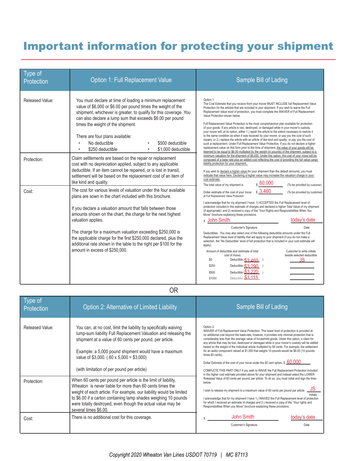# Important information for protecting your shipment

| Type of<br>Protection | Option 1: Full Replacement Value                                                                                                                                                                                                                                                                                                                                                                                   | <b>Sample Bill of Lading</b>                                                                                                                                                                                                                                                                                                                                                                                                                                                                                                                                                                                                                                                                                                                                                                                                                                                                                                                                                                                                                                                                                                               |  |  |
|-----------------------|--------------------------------------------------------------------------------------------------------------------------------------------------------------------------------------------------------------------------------------------------------------------------------------------------------------------------------------------------------------------------------------------------------------------|--------------------------------------------------------------------------------------------------------------------------------------------------------------------------------------------------------------------------------------------------------------------------------------------------------------------------------------------------------------------------------------------------------------------------------------------------------------------------------------------------------------------------------------------------------------------------------------------------------------------------------------------------------------------------------------------------------------------------------------------------------------------------------------------------------------------------------------------------------------------------------------------------------------------------------------------------------------------------------------------------------------------------------------------------------------------------------------------------------------------------------------------|--|--|
| Released Value:       | You must declare at time of loading a minimum replacement<br>value of \$6,000 or \$6.00 per pound times the weight of the<br>shipment, whichever is greater, to qualify for this coverage. You<br>can also declare a lump sum that exceeds \$6.00 per pound<br>times the weight of the shipment.<br>There are four plans available:<br>No deductible<br>\$500 deductible<br>\$250 deductible<br>\$1,000 deductible | Option 1:<br>The Cost Estimate that you receive from your mover MUST INCLUDE full Replacement Value<br>Protection for the articles that are included in your shipment. If you wish to waive the Full<br>Replacement Value level of protection, you must complete the WAIVER of Full Replacement<br>Value Protection shown below.<br>Full Replacement Value Protection is the most comprehensive plan available for protection<br>of your goods. If any article is lost, destroyed, or damaged while in your mover's custody,<br>your mover will, at its option, either 1.) repair the article to the extent necessary to restore it<br>to the same condition as when it was received by your mover, or pay you the cost of such<br>repairs; or 2.) replace the article with an article of like kind and quality; or pay you the cost of<br>such a replacement. Under Full Replacement Value Protection, if you do not declare a higher<br>replacement value on this form prior to the time of shipment, the value of your goods will be<br>deemed to be equal to \$6.00 multiplied by the weight (in pounds) of the shipment, subject to a |  |  |
| Protection:           | Claim settlements are based on the repair or replacement<br>cost with no depreciation applied, subject to any applicable<br>deductible. If an item cannot be repaired, or is lost in transit,<br>settlement will be based on the replacement cost of an item of<br>like kind and quality.                                                                                                                          | minimum valuation for the shipment of \$6,000. Under this option, the cost of your move will be<br>composed of a base rate plus an added cost reflecting the cost of providing the full value cargo<br>liability protection for your shipment.<br>If you wish to declare a higher value for your shipment than the default amounts, you must<br>indicate that value here. Declaring a higher value may increase the valuation charge in your<br>cost estimate.<br>$\,$ \$ 60,000<br>The total value of my shipment is<br>(To be provided by customer)                                                                                                                                                                                                                                                                                                                                                                                                                                                                                                                                                                                      |  |  |
| Cost:                 | The cost for various levels of valuation under the four available<br>plans are sown in the chart included with this brochure.<br>If you declare a valuation amount that falls between those<br>amounts shown on the chart, the charge for the next highest<br>valuation applies.                                                                                                                                   | $\sqrt{s}$ 3.460<br>Dollar estimate of the cost of your move<br>(To be provided by customer)<br>at Full Replacement Value Protection:<br>I acknowledge that for my shipment I have: 1) ACCEPTED the Full Replacement level of<br>protection included in this estimate of charges and declared a higher Total Value of my shipment<br>(if appropriate); and 2) received a copy of the "Your Rights and Responsibilities When You<br>Move" brochure explaining these provisions.<br>today's date<br><sub>x</sub> John Smith                                                                                                                                                                                                                                                                                                                                                                                                                                                                                                                                                                                                                  |  |  |
|                       | The charge for a maximum valuation exceeding \$250,000 is<br>the applicable charge for the first \$250,000 declared, plus the<br>additional rate shown in the table to the right per \$100 for the<br>amount in excess of \$250,000.                                                                                                                                                                               | Customer's Signature<br>Date<br>Deductibles - You may also select one of the following deductible amounts under the Full<br>Replacement Value level of liability that will apply to your shipment (if you do not make a<br>selection, the "No Deductible" level of full protection that is included in your cost estimate will<br>apply):<br>Amount of deductible and (estimate of total<br>Customer to write initials<br>beside selected deductible<br>cost of move)<br>\$0<br>Deductible (\$3 460)<br>.IS<br>\$250<br>Deductible $\binom{6}{3}$<br>Deductible (b)<br>\$500<br>Deductible \$3.115<br>\$1000                                                                                                                                                                                                                                                                                                                                                                                                                                                                                                                               |  |  |

OR

| Type of<br>Protection | Option 2: Alternative of Limited Liability                                                                                                                                                                                                                                                                                                                                                                 | Sample Bill of Lading                                                                                                                                                                                                                                                                                                                                                                                                                                                                                                                                                                                                                                                                                             |
|-----------------------|------------------------------------------------------------------------------------------------------------------------------------------------------------------------------------------------------------------------------------------------------------------------------------------------------------------------------------------------------------------------------------------------------------|-------------------------------------------------------------------------------------------------------------------------------------------------------------------------------------------------------------------------------------------------------------------------------------------------------------------------------------------------------------------------------------------------------------------------------------------------------------------------------------------------------------------------------------------------------------------------------------------------------------------------------------------------------------------------------------------------------------------|
| Released Value:       | You can, at no cost, limit the liability by specifically waiving<br>lump-sum liability Full Replacement Valuation and releasing the<br>shipment at a value of 60 cents per pound, per article.<br>Example: a 5,000 pound shipment would have a maximum<br>value of \$3,000. $(.60 \times 5,000 = $3,000)$                                                                                                  | Option 2:<br>WAIVER of Full Replacement Value Protection. This lower level of protection is provided at<br>no additional cost beyond the base-rate; however, it provides only minimal protection that is<br>considerably less than the average value of household goods. Under this option, a claim for<br>any article that may be lost, destroyed or damaged while in your mover's custody will be settled<br>based on the weight of the individual article multiplied by 60 cents. For example, the settlement<br>for an audio component valued at \$1,000 that weighs 10 pounds would be \$6.00 (10 pounds<br>times 60 cents).<br>Dollar Estimate of the cost of your move under the 60 cent option: \$ 60,000 |
| Protection:           | (with limitation of per pound per article)<br>When 60 cents per pound per article is the limit of liability,<br>Wheaton is never liable for more than 60 cents times the<br>weight of each article. For example, our liability would be limited<br>to \$6.00 if a carton containing lamp shades weighing 10 pounds<br>were totally destroyed, even though the actual value may be<br>several times \$6.00. | COMPLETE THIS PART ONLY if you wish to WAIVE the Full Replacement Protection included<br>in the higher cost estimate provided above for your shipment and instead select the LOWER<br>Released Value of 60 cents per pound, per article. To do so, you must initial and sign the lines<br>below.<br>JS<br>I wish to release my shipment to a maximum value of 60 cents per pound per article.<br>Initials<br>I acknowledge that for my shipment I have 1.) WAIVED the Full Replacement level of protection<br>for which I received an estimate of charges and 2.) received a copy of the "Your rights and<br>Responsibilities When you Move" brochure explaining these provisions.                                |
| Cost:                 | There is no additional cost for this coverage.                                                                                                                                                                                                                                                                                                                                                             | John Smith<br>today's date<br>Customer's Signature<br>Date                                                                                                                                                                                                                                                                                                                                                                                                                                                                                                                                                                                                                                                        |